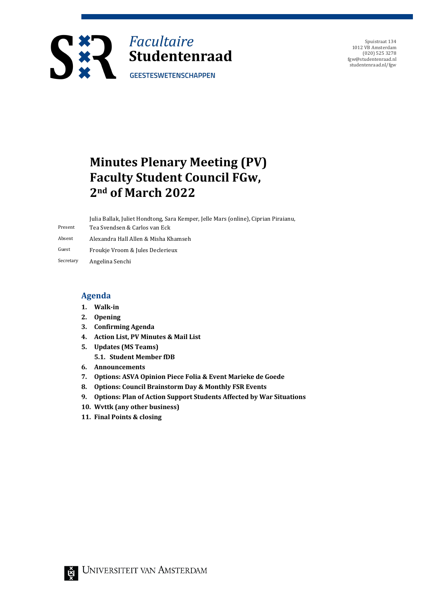

Spuistraat 134 1012 VB Amsterdam (020) 525 3278 fgw@studentenraad.nl studentenraad.nl/fgw

## **Minutes Plenary Meeting (PV) Faculty Student Council FGw, 2nd of March 2022**

|           | Julia Ballak, Juliet Hondtong, Sara Kemper, Jelle Mars (online), Ciprian Piraianu, |
|-----------|------------------------------------------------------------------------------------|
| Present   | Tea Svendsen & Carlos van Eck                                                      |
| Absent    | Alexandra Hall Allen & Misha Khamseh                                               |
| Guest     | Froukje Vroom & Jules Declerieux                                                   |
| Secretary | Angelina Senchi                                                                    |

#### **Agenda**

- **1. Walk-in**
- **2. Opening**
- **3. Confirming Agenda**
- **4. Action List, PV Minutes & Mail List**
- **5. Updates (MS Teams)**
	- **5.1. Student Member fDB**
- **6. Announcements**
- **7. Options: ASVA Opinion Piece Folia & Event Marieke de Goede**
- 8. Options: Council Brainstorm Day & Monthly FSR Events
- **9. Options: Plan of Action Support Students Affected by War Situations**
- 10. Wvttk (any other business)
- **11. Final Points & closing**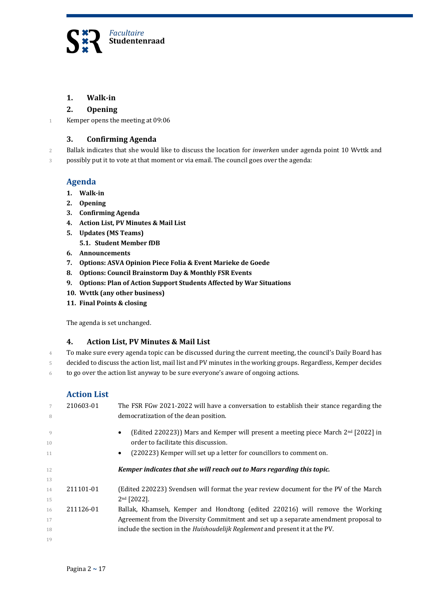

#### **1. Walk-in**

#### **2. Opening**

1 Kemper opens the meeting at 09:06

#### **3. Confirming Agenda**

2 Ballak indicates that she would like to discuss the location for *inwerken* under agenda point 10 Wvttk and

3 possibly put it to vote at that moment or via email. The council goes over the agenda:

#### **Agenda**

- **1. Walk-in**
- **2. Opening**
- **3. Confirming Agenda**
- **4. Action List, PV Minutes & Mail List**
- **5. Updates** (MS Teams)
	- **5.1. Student Member fDB**
- **6. Announcements**
- **7. Options: ASVA Opinion Piece Folia & Event Marieke de Goede**
- 8. Options: Council Brainstorm Day & Monthly FSR Events
- **9.** Options: Plan of Action Support Students Affected by War Situations
- 10. Wvttk (any other business)
- **11. Final Points & closing**

The agenda is set unchanged.

#### **4. Action List, PV Minutes & Mail List**

- 4 To make sure every agenda topic can be discussed during the current meeting, the council's Daily Board has
- 5 decided to discuss the action list, mail list and PV minutes in the working groups. Regardless, Kemper decides
- $6$  to go over the action list anyway to be sure everyone's aware of ongoing actions.

#### **Action List**

| 7<br>8               | 210603-01 | The FSR FGw 2021-2022 will have a conversation to establish their stance regarding the<br>democratization of the dean position.          |
|----------------------|-----------|------------------------------------------------------------------------------------------------------------------------------------------|
| $\overline{Q}$<br>10 |           | (Edited 220223)) Mars and Kemper will present a meeting piece March $2nd$ [2022] in<br>$\bullet$<br>order to facilitate this discussion. |
| 11                   |           | (220223) Kemper will set up a letter for councillors to comment on.<br>$\bullet$                                                         |
| 12                   |           | Kemper indicates that she will reach out to Mars regarding this topic.                                                                   |
| 13                   |           |                                                                                                                                          |
| 14                   | 211101-01 | (Edited 220223) Svendsen will format the year review document for the PV of the March                                                    |
| 15                   |           | $2nd$ [2022].                                                                                                                            |
| 16                   | 211126-01 | Ballak, Khamseh, Kemper and Hondtong (edited 220216) will remove the Working                                                             |
| 17                   |           | Agreement from the Diversity Commitment and set up a separate amendment proposal to                                                      |
| 18                   |           | include the section in the Huishoudelijk Reglement and present it at the PV.                                                             |
| 19                   |           |                                                                                                                                          |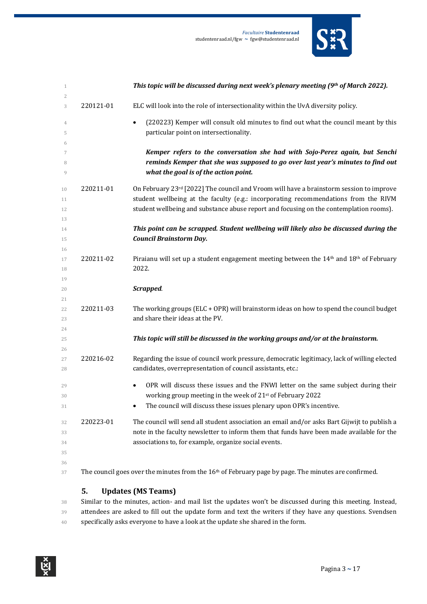*Facultaire* **Studentenraad**

studentenraad.nl/fgw **~**  fgw@studentenraad.nl

*If this topic will be discussed during next week's plenary meeting (9th of March 2022).* 

| 3  | 220121-01 | ELC will look into the role of intersectionality within the UvA diversity policy.                               |
|----|-----------|-----------------------------------------------------------------------------------------------------------------|
| 4  |           | (220223) Kemper will consult old minutes to find out what the council meant by this<br>$\bullet$                |
| 5  |           | particular point on intersectionality.                                                                          |
| 6  |           |                                                                                                                 |
| 7  |           | Kemper refers to the conversation she had with Sojo-Perez again, but Senchi                                     |
| 8  |           | reminds Kemper that she was supposed to go over last year's minutes to find out                                 |
| 9  |           | what the goal is of the action point.                                                                           |
| 10 | 220211-01 | On February $23^{rd}$ [2022] The council and Vroom will have a brainstorm session to improve                    |
| 11 |           | student wellbeing at the faculty (e.g.: incorporating recommendations from the RIVM                             |
| 12 |           | student wellbeing and substance abuse report and focusing on the contemplation rooms).                          |
| 13 |           |                                                                                                                 |
| 14 |           | This point can be scrapped. Student wellbeing will likely also be discussed during the                          |
| 15 |           | <b>Council Brainstorm Day.</b>                                                                                  |
| 16 |           |                                                                                                                 |
| 17 | 220211-02 | Piraianu will set up a student engagement meeting between the 14 <sup>th</sup> and 18 <sup>th</sup> of February |
| 18 |           | 2022.                                                                                                           |
| 19 |           |                                                                                                                 |
| 20 |           | Scrapped.                                                                                                       |
| 21 |           |                                                                                                                 |
| 22 | 220211-03 | The working groups ( $ELC + OPR$ ) will brainstorm ideas on how to spend the council budget                     |

- 
- *This topic will still be discussed in the working groups and/or at the brainstorm.*
- 27 220216-02 Regarding the issue of council work pressure, democratic legitimacy, lack of willing elected 28 candidates, overrepresentation of council assistants, etc.:
- **•** OPR will discuss these issues and the FNWI letter on the same subject during their 30 working group meeting in the week of 21<sup>st</sup> of February 2022
- 31 The council will discuss these issues plenary upon OPR's incentive.
- 32 220223-01 The council will send all student association an email and/or asks Bart Gijwijt to publish a 33 note in the faculty newsletter to inform them that funds have been made available for the **associations to, for example, organize social events.**

- 
- 37 The council goes over the minutes from the 16<sup>th</sup> of February page by page. The minutes are confirmed.

#### **5. Updates** (MS Teams)

**and share their ideas at the PV.** 

38 Similar to the minutes, action- and mail list the updates won't be discussed during this meeting. Instead, 39 attendees are asked to fill out the update form and text the writers if they have any questions. Svendsen 40 specifically asks everyone to have a look at the update she shared in the form.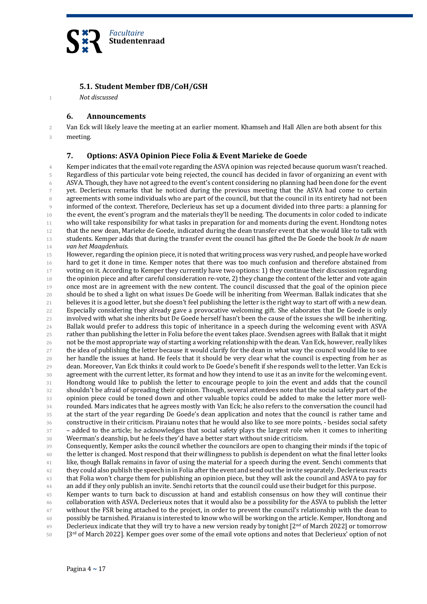

#### **5.1. Student Member fDB/CoH/GSH**

1 *Not discussed*

#### **6. Announcements**

2 Van Eck will likely leave the meeting at an earlier moment. Khamseh and Hall Allen are both absent for this 3 meeting.

#### **7. Options: ASVA Opinion Piece Folia & Event Marieke de Goede**

4 Kemper indicates that the email vote regarding the ASVA opinion was rejected because quorum wasn't reached. 5 Regardless of this particular vote being rejected, the council has decided in favor of organizing an event with 6 ASVA. Though, they have not agreed to the event's content considering no planning had been done for the event 7 yet. Declerieux remarks that he noticed during the previous meeting that the ASVA had come to certain 8 agreements with some individuals who are part of the council, but that the council in its entirety had not been 9 informed of the context. Therefore, Declerieux has set up a document divided into three parts: a planning for 10 the event, the event's program and the materials they'll be needing. The documents in color coded to indicate 11 who will take responsibility for what tasks in preparation for and moments during the event. Hondtong notes 12 that the new dean, Marieke de Goede, indicated during the dean transfer event that she would like to talk with 13 students. Kemper adds that during the transfer event the council has gifted the De Goede the book *In de naam* 14 **van het Maagdenhuis.** 

15 However, regarding the opinion piece, it is noted that writing process was very rushed, and people have worked 16 hard to get it done in time. Kemper notes that there was too much confusion and therefore abstained from 17 voting on it. According to Kemper they currently have two options: 1) they continue their discussion regarding 18 the opinion piece and after careful consideration re-vote, 2) they change the content of the letter and vote again 19 once most are in agreement with the new content. The council discussed that the goal of the opinion piece 20 should be to shed a light on what issues De Goede will be inheriting from Weerman. Ballak indicates that she 21 believes it is a good letter, but she doesn't feel publishing the letter is the right way to start off with a new dean. 22 Especially considering they already gave a provocative welcoming gift. She elaborates that De Goede is only 23 involved with what she inherits but De Goede herself hasn't been the cause of the issues she will be inheriting. 24 Ballak would prefer to address this topic of inheritance in a speech during the welcoming event with ASVA  $25$  rather than publishing the letter in Folia before the event takes place. Svendsen agrees with Ballak that it might  $26$  not be the most appropriate way of starting a working relationship with the dean. Van Eck, however, really likes  $27$  the idea of publishing the letter because it would clarify for the dean in what way the council would like to see  $28$  her handle the issues at hand. He feels that it should be very clear what the council is expecting from her as 29 dean. Moreover, Van Eck thinks it could work to De Goede's benefit if she responds well to the letter. Van Eck is 30 agreement with the current letter, its format and how they intend to use it as an invite for the welcoming event.  $31$  Hondtong would like to publish the letter to encourage people to join the event and adds that the council 32 shouldn't be afraid of spreading their opinion. Though, several attendees note that the social safety part of the 33 opinion piece could be toned down and other valuable topics could be added to make the letter more well-34 rounded. Mars indicates that he agrees mostly with Van Eck; he also refers to the conversation the council had 35 at the start of the year regarding De Goede's dean application and notes that the council is rather tame and 36 constructive in their criticism. Piraianu notes that he would also like to see more points, - besides social safety 37 – added to the article; he acknowledges that social safety plays the largest role when it comes to inheriting 38 Weerman's deanship, but he feels they'd have a better start without snide criticism.

39 Consequently, Kemper asks the council whether the councilors are open to changing their minds if the topic of 40 the letter is changed. Most respond that their willingness to publish is dependent on what the final letter looks <sup>41</sup> like, though Ballak remains in favor of using the material for a speech during the event. Senchi comments that <sup>42</sup> they could also publish the speech in in Folia after the event and send out the invite separately. Declerieux reacts <sup>43</sup> that Folia won't charge them for publishing an opinion piece, but they will ask the council and ASVA to pay for 44 an add if they only publish an invite. Senchi retorts that the council could use their budget for this purpose.

45 Kemper wants to turn back to discussion at hand and establish consensus on how they will continue their 46 collaboration with ASVA. Declerieux notes that it would also be a possibility for the ASVA to publish the letter 47 without the FSR being attached to the project, in order to prevent the council's relationship with the dean to 48 possibly be tarnished. Piraianu is interested to know who will be working on the article. Kemper, Hondtong and 49 Declerieux indicate that they will try to have a new version ready by tonight  $[2^{nd}$  of March 2022] or tomorrow

 $50$  [3<sup>rd</sup> of March 2022]. Kemper goes over some of the email vote options and notes that Declerieux' option of not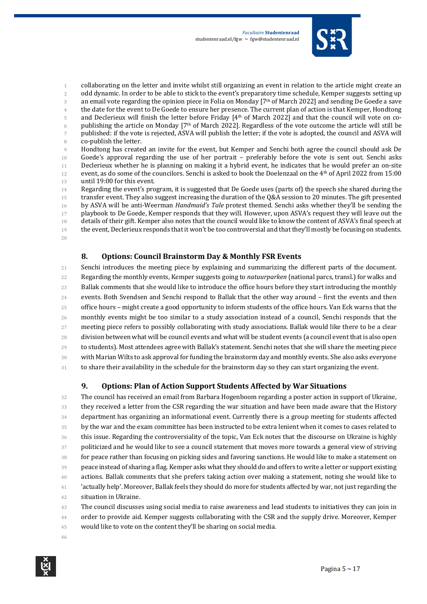

1 collaborating on the letter and invite whilst still organizing an event in relation to the article might create an 2 odd dynamic. In order to be able to stick to the event's preparatory time schedule, Kemper suggests setting up 3 an email vote regarding the opinion piece in Folia on Monday [7th of March 2022] and sending De Goede a save 4 the date for the event to De Goede to ensure her presence. The current plan of action is that Kemper, Hondtong 5 and Declerieux will finish the letter before Friday  $[4<sup>th</sup>$  of March 2022] and that the council will vote on co-6 publishing the article on Monday [7<sup>th</sup> of March 2022]. Regardless of the vote outcome the article will still be 7 published: if the vote is rejected, ASVA will publish the letter; if the vote is adopted, the council and ASVA will 8 co-publish the letter.

9 Hondtong has created an invite for the event, but Kemper and Senchi both agree the council should ask De 10 Goede's approval regarding the use of her portrait - preferably before the vote is sent out. Senchi asks 11 Declerieux whether he is planning on making it a hybrid event, he indicates that he would prefer an on-site 12 event, as do some of the councilors. Senchi is asked to book the Doelenzaal on the 4<sup>th</sup> of April 2022 from 15:00 13 until 19:00 for this event.

14 Regarding the event's program, it is suggested that De Goede uses (parts of) the speech she shared during the 15 transfer event. They also suggest increasing the duration of the Q&A session to 20 minutes. The gift presented 16 by ASVA will be anti-Weerman *Handmaid's Tale* protest themed. Senchi asks whether they'll be sending the 17 playbook to De Goede, Kemper responds that they will. However, upon ASVA's request they will leave out the 18 details of their gift. Kemper also notes that the council would like to know the content of ASVA's final speech at 19 the event, Declerieux responds that it won't be too controversial and that they'll mostly be focusing on students. 20

#### **8. Options: Council Brainstorm Day & Monthly FSR Events**

21 Senchi introduces the meeting piece by explaining and summarizing the different parts of the document. 22 Regarding the monthly events, Kemper suggests going to *natuurparken* {national parcs, transl.) for walks and 23 Ballak comments that she would like to introduce the office hours before they start introducing the monthly 24 events. Both Svendsen and Senchi respond to Ballak that the other way around – first the events and then 25 office hours – might create a good opportunity to inform students of the office hours. Van Eck warns that the 26 monthly events might be too similar to a study association instead of a council, Senchi responds that the 27 meeting piece refers to possibly collaborating with study associations. Ballak would like there to be a clear 28 division between what will be council events and what will be student events (a council event that is also open 29 to students). Most attendees agree with Ballak's statement. Senchi notes that she will share the meeting piece 30 with Marian Wilts to ask approval for funding the brainstorm day and monthly events. She also asks everyone 31 to share their availability in the schedule for the brainstorm day so they can start organizing the event.

#### **9.** Options: Plan of Action Support Students Affected by War Situations

32 The council has received an email from Barbara Hogenboom regarding a poster action in support of Ukraine, 33 they received a letter from the CSR regarding the war situation and have been made aware that the History 34 department has organizing an informational event. Currently there is a group meeting for students affected 35 by the war and the exam committee has been instructed to be extra lenient when it comes to cases related to 36 this issue. Regarding the controversiality of the topic, Van Eck notes that the discourse on Ukraine is highly 37 politicized and he would like to see a council statement that moves more towards a general view of striving 38 for peace rather than focusing on picking sides and favoring sanctions. He would like to make a statement on 39 peace instead of sharing a flag. Kemper asks what they should do and offers to write a letter or support existing 40 actions. Ballak comments that she prefers taking action over making a statement, noting she would like to <sup>41</sup> 'actually help'. Moreover, Ballak feels they should do more for students affected by war, not just regarding the 42 situation in Ukraine.

43 The council discusses using social media to raise awareness and lead students to initiatives they can join in 44 order to provide aid. Kemper suggests collaborating with the CSR and the supply drive. Moreover, Kemper

45 would like to vote on the content they'll be sharing on social media.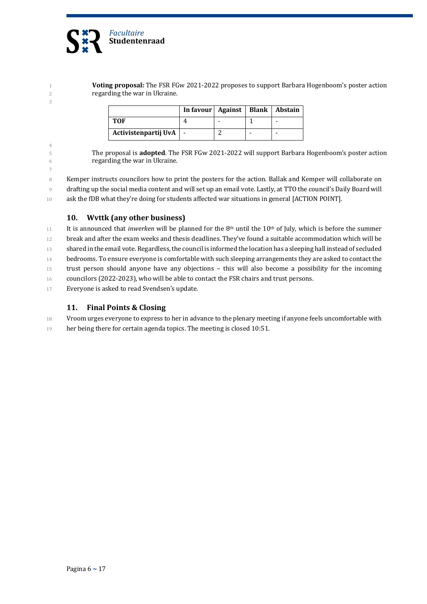

4

7

1 **Voting proposal:** The FSR FGw 2021-2022 proposes to support Barbara Hogenboom's poster action 2 regarding the war in Ukraine.

|                      | In favour   Against   Blank   Abstain |  |  |
|----------------------|---------------------------------------|--|--|
| TOF                  |                                       |  |  |
| Activistenpartij UvA | $\overline{\phantom{a}}$              |  |  |

5 The proposal is **adopted**. The FSR FGw 2021-2022 will support Barbara Hogenboom's poster action 6 **regarding the war in Ukraine.** 

8 Kemper instructs councilors how to print the posters for the action. Ballak and Kemper will collaborate on 9 drafting up the social media content and will set up an email vote. Lastly, at TTO the council's Daily Board will 10 ask the fDB what they're doing for students affected war situations in general [ACTION POINT].

#### 10. Wvttk (any other business)

11 It is announced that *inwerken* will be planned for the  $8<sup>th</sup>$  until the 10<sup>th</sup> of July, which is before the summer 12 break and after the exam weeks and thesis deadlines. They've found a suitable accommodation which will be 13 shared in the email vote. Regardless, the council is informed the location has a sleeping hall instead of secluded 14 bedrooms. To ensure everyone is comfortable with such sleeping arrangements they are asked to contact the 15 trust person should anyone have any objections – this will also become a possibility for the incoming 16 councilors (2022-2023), who will be able to contact the FSR chairs and trust persons.

17 Everyone is asked to read Svendsen's update.

#### **11.** Final Points & Closing

18 Vroom urges everyone to express to her in advance to the plenary meeting if anyone feels uncomfortable with

19 her being there for certain agenda topics. The meeting is closed 10:51.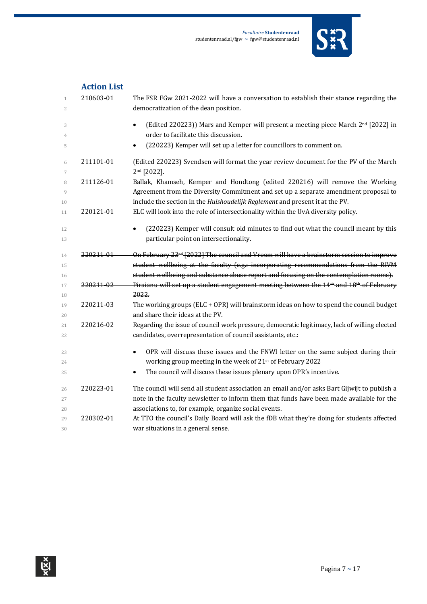

|                                | <b>Action List</b>   |                                                                                                                                                                                           |
|--------------------------------|----------------------|-------------------------------------------------------------------------------------------------------------------------------------------------------------------------------------------|
| $\mathbf{1}$<br>$\overline{2}$ | 210603-01            | The FSR FGw 2021-2022 will have a conversation to establish their stance regarding the<br>democratization of the dean position.                                                           |
| 3<br>4                         |                      | (Edited 220223)) Mars and Kemper will present a meeting piece March 2 <sup>nd</sup> [2022] in<br>order to facilitate this discussion.                                                     |
| 5                              |                      | (220223) Kemper will set up a letter for councillors to comment on.<br>٠                                                                                                                  |
| 6<br>7                         | 211101-01            | (Edited 220223) Svendsen will format the year review document for the PV of the March<br>2 <sup>nd</sup> [2022].                                                                          |
| 8<br>9                         | 211126-01            | Ballak, Khamseh, Kemper and Hondtong (edited 220216) will remove the Working<br>Agreement from the Diversity Commitment and set up a separate amendment proposal to                       |
| 10<br>11                       | 220121-01            | include the section in the Huishoudelijk Reglement and present it at the PV.<br>ELC will look into the role of intersectionality within the UvA diversity policy.                         |
| 12<br>13                       |                      | (220223) Kemper will consult old minutes to find out what the council meant by this<br>particular point on intersectionality.                                                             |
| 14                             | <del>220211-01</del> | On February 23 <sup>rd</sup> [2022] The council and Vroom will have a brainstorm session to improve                                                                                       |
| 15<br>16                       |                      | student wellbeing at the faculty (e.g.: incorporating recommendations from the RIVM<br>student wellbeing and substance abuse report and focusing on the contemplation rooms).             |
| 17                             | 220211-02            | Piraianu will set up a student engagement meeting between the 14 <sup>th</sup> and 18 <sup>th</sup> of February<br>2022.                                                                  |
| 18<br>19<br>20                 | 220211-03            | The working groups (ELC + OPR) will brainstorm ideas on how to spend the council budget<br>and share their ideas at the PV.                                                               |
| 21<br>22                       | 220216-02            | Regarding the issue of council work pressure, democratic legitimacy, lack of willing elected<br>candidates, overrepresentation of council assistants, etc.:                               |
| 23<br>24                       |                      | OPR will discuss these issues and the FNWI letter on the same subject during their<br>working group meeting in the week of 21st of February 2022                                          |
| 25                             |                      | The council will discuss these issues plenary upon OPR's incentive.<br>٠                                                                                                                  |
| 26<br>27                       | 220223-01            | The council will send all student association an email and/or asks Bart Gijwijt to publish a<br>note in the faculty newsletter to inform them that funds have been made available for the |
| 28                             |                      | associations to, for example, organize social events.                                                                                                                                     |
| 29<br>30                       | 220302-01            | At TTO the council's Daily Board will ask the fDB what they're doing for students affected<br>war situations in a general sense.                                                          |

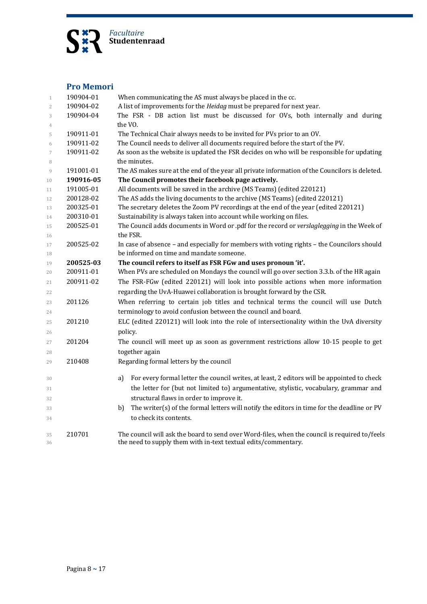

#### **Pro Memori**

| $\mathbf{1}$        | 190904-01 | When communicating the AS must always be placed in the cc.                                                |
|---------------------|-----------|-----------------------------------------------------------------------------------------------------------|
| $\overline{2}$      | 190904-02 | A list of improvements for the Heidag must be prepared for next year.                                     |
| 3                   | 190904-04 | The FSR - DB action list must be discussed for OVs, both internally and during                            |
| $\overline{4}$      |           | the VO.                                                                                                   |
| 5                   | 190911-01 | The Technical Chair always needs to be invited for PVs prior to an OV.                                    |
| 6                   | 190911-02 | The Council needs to deliver all documents required before the start of the PV.                           |
| $\overline{7}$<br>8 | 190911-02 | As soon as the website is updated the FSR decides on who will be responsible for updating<br>the minutes. |
| 9                   | 191001-01 | The AS makes sure at the end of the year all private information of the Councilors is deleted.            |
| 10                  | 190916-05 | The Council promotes their facebook page actively.                                                        |
| 11                  | 191005-01 | All documents will be saved in the archive (MS Teams) (edited 220121)                                     |
| 12                  | 200128-02 | The AS adds the living documents to the archive (MS Teams) (edited 220121)                                |
| 13                  | 200325-01 | The secretary deletes the Zoom PV recordings at the end of the year (edited 220121)                       |
| 14                  | 200310-01 | Sustainability is always taken into account while working on files.                                       |
| 15                  | 200525-01 | The Council adds documents in Word or .pdf for the record or verslaglegging in the Week of                |
| 16                  |           | the FSR.                                                                                                  |
| 17                  | 200525-02 | In case of absence - and especially for members with voting rights - the Councilors should                |
| 18                  |           | be informed on time and mandate someone.                                                                  |
| 19                  | 200525-03 | The council refers to itself as FSR FGw and uses pronoun 'it'.                                            |
| 20                  | 200911-01 | When PVs are scheduled on Mondays the council will go over section 3.3.b. of the HR again                 |
| 21                  | 200911-02 | The FSR-FGw (edited 220121) will look into possible actions when more information                         |
| 22                  |           | regarding the UvA-Huawei collaboration is brought forward by the CSR.                                     |
| 23                  | 201126    | When referring to certain job titles and technical terms the council will use Dutch                       |
| 24                  |           | terminology to avoid confusion between the council and board.                                             |
|                     | 201210    | ELC (edited 220121) will look into the role of intersectionality within the UvA diversity                 |
| 25                  |           |                                                                                                           |
| 26                  |           | policy.                                                                                                   |
| 27                  | 201204    | The council will meet up as soon as government restrictions allow 10-15 people to get                     |
| 28                  |           | together again                                                                                            |
| 29                  | 210408    | Regarding formal letters by the council                                                                   |
| 30                  |           | For every formal letter the council writes, at least, 2 editors will be appointed to check<br>a)          |
| 31                  |           | the letter for (but not limited to) argumentative, stylistic, vocabulary, grammar and                     |
| 32                  |           | structural flaws in order to improve it.                                                                  |
| 33                  |           | The writer(s) of the formal letters will notify the editors in time for the deadline or PV<br>b)          |
| 34                  |           | to check its contents.                                                                                    |
| 35                  | 210701    | The council will ask the board to send over Word-files, when the council is required to/feels             |
| 36                  |           | the need to supply them with in-text textual edits/commentary.                                            |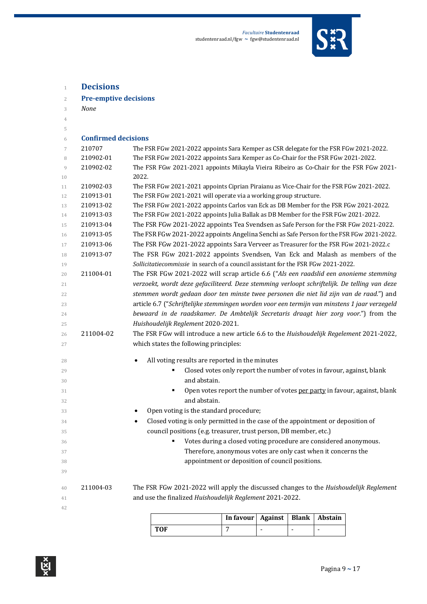

| $\overline{2}$ | <b>Pre-emptive decisions</b> |                                                                                                  |
|----------------|------------------------------|--------------------------------------------------------------------------------------------------|
| 3              | <b>None</b>                  |                                                                                                  |
| $\overline{4}$ |                              |                                                                                                  |
| 5              |                              |                                                                                                  |
| 6              | <b>Confirmed decisions</b>   |                                                                                                  |
| 7              | 210707                       | The FSR FGw 2021-2022 appoints Sara Kemper as CSR delegate for the FSR FGw 2021-2022.            |
| 8              | 210902-01                    | The FSR FGw 2021-2022 appoints Sara Kemper as Co-Chair for the FSR FGw 2021-2022.                |
| 9<br>10        | 210902-02                    | The FSR FGw 2021-2021 appoints Mikayla Vieira Ribeiro as Co-Chair for the FSR FGw 2021-<br>2022. |
| 11             | 210902-03                    | The FSR FGw 2021-2021 appoints Ciprian Piraianu as Vice-Chair for the FSR FGw 2021-2022.         |
| 12             | 210913-01                    | The FSR FGw 2021-2021 will operate via a working group structure.                                |
| 13             | 210913-02                    | The FSR FGw 2021-2022 appoints Carlos van Eck as DB Member for the FSR FGw 2021-2022.            |
| 14             | 210913-03                    | The FSR FGw 2021-2022 appoints Julia Ballak as DB Member for the FSR FGw 2021-2022.              |
| 15             | 210913-04                    | The FSR FGw 2021-2022 appoints Tea Svendsen as Safe Person for the FSR FGw 2021-2022.            |
| 16             | 210913-05                    | The FSR FGw 2021-2022 appoints Angelina Senchi as Safe Person for the FSR FGw 2021-2022.         |
| 17             | 210913-06                    | The FSR FGw 2021-2022 appoints Sara Verveer as Treasurer for the FSR FGw 2021-2022.c             |
| 18             | 210913-07                    | The FSR FGw 2021-2022 appoints Svendsen, Van Eck and Malash as members of the                    |
| 19             |                              | Sollicitatiecommissie in search of a council assistant for the FSR FGw 2021-2022.                |
| 20             | 211004-01                    | The FSR FGw 2021-2022 will scrap article 6.6 ("Als een raadslid een anonieme stemming            |
| 21             |                              | verzoekt, wordt deze gefaciliteerd. Deze stemming verloopt schriftelijk. De telling van deze     |
| 22             |                              | stemmen wordt gedaan door ten minste twee personen die niet lid zijn van de raad.") and          |
| 23             |                              | article 6.7 ("Schriftelijke stemmingen worden voor een termijn van minstens 1 jaar verzegeld     |
| 24             |                              | bewaard in de raadskamer. De Ambtelijk Secretaris draagt hier zorg voor.") from the              |
| 25             |                              | Huishoudelijk Reglement 2020-2021.                                                               |
| 26             | 211004-02                    | The FSR FGw will introduce a new article 6.6 to the Huishoudelijk Regelement 2021-2022,          |
| 27             |                              | which states the following principles:                                                           |
| 28             |                              | All voting results are reported in the minutes                                                   |
| 29             |                              | Closed votes only report the number of votes in favour, against, blank<br>Е                      |
| 30             |                              | and abstain.                                                                                     |
| 31             |                              | Open votes report the number of votes per party in favour, against, blank<br>٠                   |
| 32             |                              | and abstain.                                                                                     |
| 33             |                              | Open voting is the standard procedure;                                                           |
| 34             |                              | Closed voting is only permitted in the case of the appointment or deposition of                  |
| 35             |                              | council positions (e.g. treasurer, trust person, DB member, etc.)                                |
| 36             |                              | Votes during a closed voting procedure are considered anonymous.                                 |
| 37             |                              | Therefore, anonymous votes are only cast when it concerns the                                    |
| 38             |                              | appointment or deposition of council positions.                                                  |
| 39             |                              |                                                                                                  |
| 40             | 211004-03                    | The FSR FGw 2021-2022 will apply the discussed changes to the Huishoudelijk Reglement            |
| 41             |                              | and use the finalized Huishoudelijk Reglement 2021-2022.                                         |
| 42             |                              |                                                                                                  |
|                |                              | $A = 1$                                                                                          |

|            | In favour   Against   Blank   Abstain |  |  |
|------------|---------------------------------------|--|--|
| <b>TOF</b> |                                       |  |  |

**Decisions**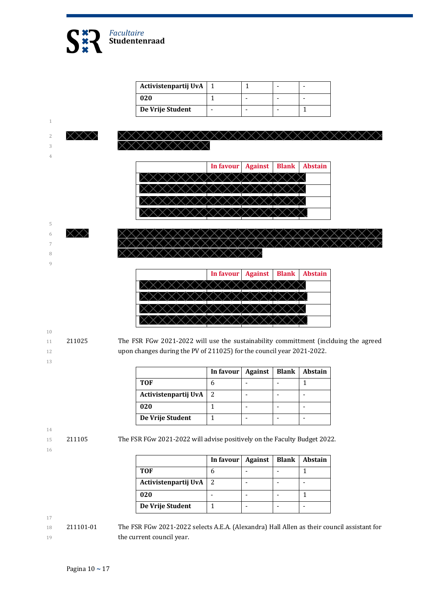

| Activistenpartij UvA |  |  |
|----------------------|--|--|
| 020                  |  |  |
| De Vrije Student     |  |  |



- 
- 

11 211025 The FSR FGw 2021-2022 will use the sustainability committment (inclduing the agreed 12 upon changes during the PV of 211025) for the council year 2021-2022.

|                      | In favour   Against | <b>Blank</b> | <b>Abstain</b> |
|----------------------|---------------------|--------------|----------------|
| TOF                  |                     |              |                |
| Activistenpartij UvA | 2                   |              |                |
| 020                  |                     |              |                |
| De Vrije Student     |                     |              |                |

14

16

15 211105 The FSR FGw 2021-2022 will advise positively on the Faculty Budget 2022.

|                      | In favour   Against |  | Blank   Abstain |
|----------------------|---------------------|--|-----------------|
| TOF                  |                     |  |                 |
| Activistenpartij UvA | 2                   |  |                 |
| 020                  |                     |  |                 |
| De Vrije Student     |                     |  |                 |

17

18 211101-01 The FSR FGw 2021-2022 selects A.E.A. (Alexandra) Hall Allen as their council assistant for 19 **the current council year.**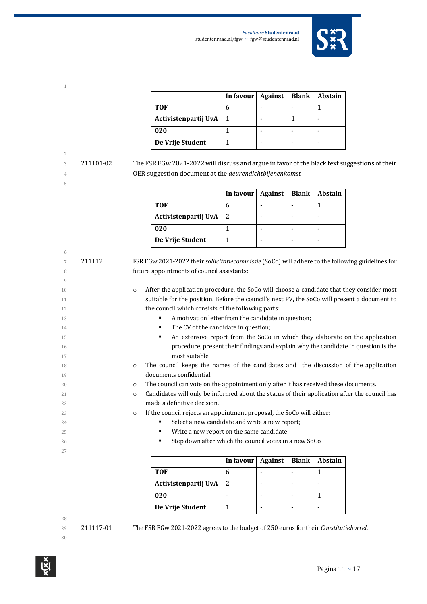

|                      | In favour $\vert$ | <b>Against</b> | <b>Blank</b> | <b>Abstain</b> |
|----------------------|-------------------|----------------|--------------|----------------|
| <b>TOF</b>           |                   |                |              |                |
| Activistenpartij UvA | $\mathbf{1}$      |                |              |                |
| 020                  |                   |                |              |                |
| De Vrije Student     |                   |                |              |                |

3 211101-02 The FSR FGw 2021-2022 will discuss and argue in favor of the black text suggestions of their OER suggestion document at the *deurendichtbijenenkomst*

|                      | In favour $\vert$ | Against | Blank | <b>Abstain</b> |
|----------------------|-------------------|---------|-------|----------------|
| <b>TOF</b>           |                   |         |       |                |
| Activistenpartij UvA |                   |         |       |                |
| 020                  |                   |         |       |                |
| De Vrije Student     |                   |         |       |                |

| 6  |        |                                                                                                         |  |  |  |  |
|----|--------|---------------------------------------------------------------------------------------------------------|--|--|--|--|
| 7  | 211112 | FSR FGw 2021-2022 their sollicitatiecommissie (SoCo) will adhere to the following guidelines for        |  |  |  |  |
| 8  |        | future appointments of council assistants:                                                              |  |  |  |  |
| 9  |        |                                                                                                         |  |  |  |  |
| 10 |        | After the application procedure, the SoCo will choose a candidate that they consider most<br>$\circ$    |  |  |  |  |
| 11 |        | suitable for the position. Before the council's next PV, the SoCo will present a document to            |  |  |  |  |
| 12 |        | the council which consists of the following parts:                                                      |  |  |  |  |
| 13 |        | A motivation letter from the candidate in question;                                                     |  |  |  |  |
| 14 |        | The CV of the candidate in question;<br>٠                                                               |  |  |  |  |
| 15 |        | An extensive report from the SoCo in which they elaborate on the application<br>٠                       |  |  |  |  |
| 16 |        | procedure, present their findings and explain why the candidate in question is the                      |  |  |  |  |
| 17 |        | most suitable                                                                                           |  |  |  |  |
| 18 |        | The council keeps the names of the candidates and the discussion of the application<br>$\circ$          |  |  |  |  |
| 19 |        | documents confidential.                                                                                 |  |  |  |  |
| 20 |        | The council can vote on the appointment only after it has received these documents.<br>$\circ$          |  |  |  |  |
| 21 |        | Candidates will only be informed about the status of their application after the council has<br>$\circ$ |  |  |  |  |
| 22 |        | made a definitive decision.                                                                             |  |  |  |  |
| 23 |        | If the council rejects an appointment proposal, the SoCo will either:<br>$\circ$                        |  |  |  |  |
| 24 |        | Select a new candidate and write a new report;                                                          |  |  |  |  |
| 25 |        | Write a new report on the same candidate;<br>٠                                                          |  |  |  |  |
| 26 |        | Step down after which the council votes in a new SoCo                                                   |  |  |  |  |
| 27 |        |                                                                                                         |  |  |  |  |
|    |        | In favour<br><b>Blank</b><br><b>Abstain</b><br><b>Against</b>                                           |  |  |  |  |

|                      | In favour   Against | Blank | <b>Abstain</b> |
|----------------------|---------------------|-------|----------------|
| TOF                  |                     |       |                |
| Activistenpartij UvA | 2                   |       |                |
| 020                  |                     |       |                |
| De Vrije Student     |                     |       |                |

29 211117-01 The FSR FGw 2021-2022 agrees to the budget of 250 euros for their *Constitutieborrel*.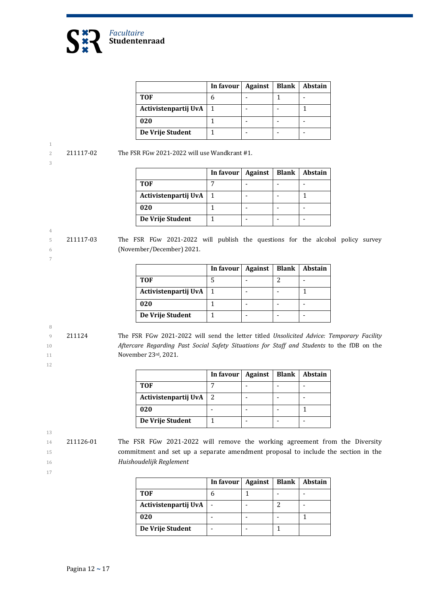

|                      | In favour | Against | Blank | Abstain |
|----------------------|-----------|---------|-------|---------|
| <b>TOF</b>           |           |         |       |         |
| Activistenpartij UvA |           |         |       |         |
| 020                  |           |         |       |         |
| De Vrije Student     |           |         |       |         |

3

4

7

2 211117-02 The FSR FGw 2021-2022 will use Wandkrant  $#1$ .

|                          | In favour | Against | Blank   Abstain |
|--------------------------|-----------|---------|-----------------|
| <b>TOF</b>               |           |         |                 |
| Activistenpartij UvA   1 |           |         |                 |
| 020                      |           |         |                 |
| De Vrije Student         |           |         |                 |

5 211117-03 The FSR FGw 2021-2022 will publish the questions for the alcohol policy survey 6 (November/December) 2021.

|                      | In favour | <b>Against</b> | Blank | Abstain |
|----------------------|-----------|----------------|-------|---------|
| <b>TOF</b>           |           |                |       |         |
| Activistenpartij UvA |           |                |       |         |
| 020                  |           |                |       |         |
| De Vrije Student     |           |                |       |         |

8

12

9 211124 The FSR FGw 2021-2022 will send the letter titled *Unsolicited Advice: Temporary Facility* 10 **Aftercare Regarding Past Social Safety Situations for Staff and Students to the fDB on the** 11 **November 23rd, 2021.** 

|                      | In favour   Against | <b>Blank</b> | Abstain |
|----------------------|---------------------|--------------|---------|
| TOF                  |                     |              |         |
| Activistenpartij UvA |                     |              |         |
| 020                  |                     |              |         |
| De Vrije Student     |                     |              |         |

13

17

14 211126-01 The FSR FGw 2021-2022 will remove the working agreement from the Diversity 15 commitment and set up a separate amendment proposal to include the section in the 16 *Huishoudelijk Reglement*

|                      | In favour $\vert$ | Against | <b>Blank</b> | <b>Abstain</b> |
|----------------------|-------------------|---------|--------------|----------------|
| TOF                  |                   |         |              |                |
| Activistenpartij UvA |                   |         |              |                |
| 020                  |                   |         |              |                |
| De Vrije Student     |                   |         |              |                |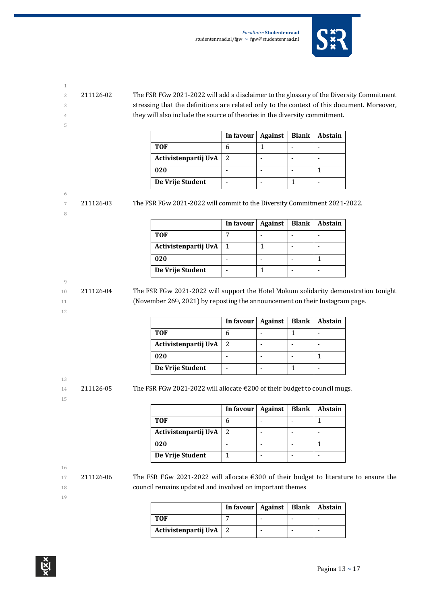

- 
- 5
- 2 211126-02 The FSR FGw 2021-2022 will add a disclaimer to the glossary of the Diversity Commitment 3 stressing that the definitions are related only to the context of this document. Moreover, 4 they will also include the source of theories in the diversity commitment.

|                      | In favour | Against | <b>Blank</b> | <b>Abstain</b> |
|----------------------|-----------|---------|--------------|----------------|
| <b>TOF</b>           |           |         |              |                |
| Activistenpartij UvA | 2         |         |              |                |
| 020                  |           |         |              |                |
| De Vrije Student     |           |         |              |                |

#### 6

8

7 211126-03 The FSR FGw 2021-2022 will commit to the Diversity Commitment 2021-2022.

|                      | In favour   Against | <b>Blank</b> | <b>Abstain</b> |
|----------------------|---------------------|--------------|----------------|
| <b>TOF</b>           |                     |              |                |
| Activistenpartij UvA |                     |              |                |
| 020                  |                     |              |                |
| De Vrije Student     |                     |              |                |

#### 9

12

10 211126-04 The FSR FGw 2021-2022 will support the Hotel Mokum solidarity demonstration tonight 11 (November 26<sup>th</sup>, 2021) by reposting the announcement on their Instagram page.

|                      | In favour   Against | Blank | <b>Abstain</b> |
|----------------------|---------------------|-------|----------------|
| <b>TOF</b>           |                     |       |                |
| Activistenpartij UvA | 2                   |       |                |
| 020                  |                     |       |                |
| De Vrije Student     |                     |       |                |

13

15

14 211126-05 The FSR FGw 2021-2022 will allocate  $\epsilon$ 200 of their budget to council mugs.

|                      | In favour   Against | <b>Blank</b> | Abstain |
|----------------------|---------------------|--------------|---------|
| TOF                  | n                   |              |         |
| Activistenpartij UvA | 2                   |              |         |
| 020                  |                     |              |         |
| De Vrije Student     |                     |              |         |

16

17 211126-06 The FSR FGw 2021-2022 will allocate  $\epsilon$ 300 of their budget to literature to ensure the 18 council remains updated and involved on important themes

|                          | In favour   Against   Blank   Abstain |  |  |
|--------------------------|---------------------------------------|--|--|
| TOF                      |                                       |  |  |
| Activistenpartij UvA   2 |                                       |  |  |

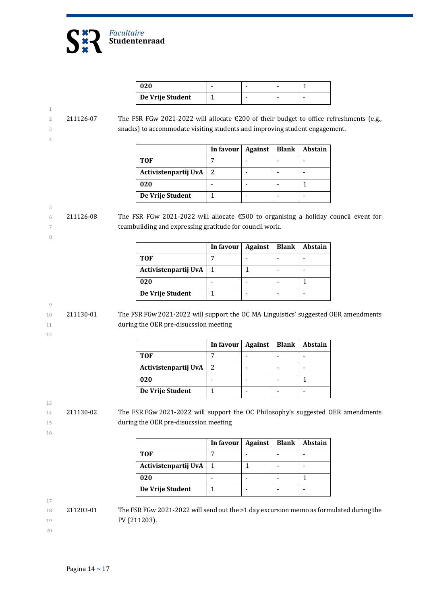

| 020              |  |  |
|------------------|--|--|
| De Vrije Student |  |  |

### 2 211126-07 The FSR FGw 2021-2022 will allocate €200 of their budget to office refreshments (e.g., 3 snacks) to accommodate visiting students and improving student engagement.

|                      | In favour   Against | Blank | Abstain |
|----------------------|---------------------|-------|---------|
| TOF                  |                     |       |         |
| Activistenpartij UvA |                     |       |         |
| 020                  |                     |       |         |
| De Vrije Student     |                     |       |         |

#### 5 6 211126-08 The FSR FGw 2021-2022 will allocate  $\epsilon$ 500 to organising a holiday council event for 7 teambuilding and expressing gratitude for council work.

|                      | In favour | Against | <b>Blank</b> | Abstain |
|----------------------|-----------|---------|--------------|---------|
| TOF                  |           |         |              |         |
| Activistenpartij UvA |           |         |              |         |
| 020                  |           |         |              |         |
| De Vrije Student     |           |         |              |         |

#### 9

8

1

4

10 211130-01 The FSR FGw 2021-2022 will support the OC MA Linguistics' suggested OER amendments 11 during the OER pre-disucssion meeting

12

|                          | In favour | Against | Blank   Abstain |
|--------------------------|-----------|---------|-----------------|
| TOF                      |           |         |                 |
| Activistenpartij UvA   2 |           |         |                 |
| 020                      |           |         |                 |
| De Vrije Student         |           |         |                 |

13

14 211130-02 The FSR FGw 2021-2022 will support the OC Philosophy's suggested OER amendments 15 during the OER pre-disucssion meeting

16

|                      | In favour | Against | <b>Blank   Abstain</b> |
|----------------------|-----------|---------|------------------------|
| <b>TOF</b>           |           |         |                        |
| Activistenpartij UvA |           |         |                        |
| 020                  |           |         |                        |
| De Vrije Student     |           |         |                        |

17

18 211203-01 The FSR FGw 2021-2022 will send out the >1 day excursion memo as formulated during the 19 **PV** (211203).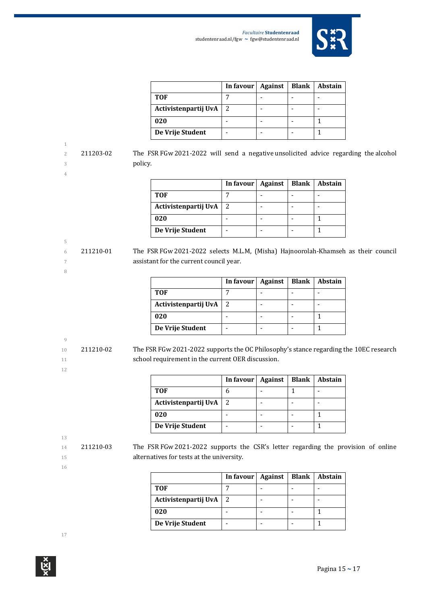

|                      | In favour   Against | Blank | Abstain |
|----------------------|---------------------|-------|---------|
| <b>TOF</b>           |                     |       |         |
| Activistenpartij UvA | 2                   |       |         |
| 020                  |                     |       |         |
| De Vrije Student     |                     |       |         |

2 211203-02 The FSR FGw 2021-2022 will send a negative unsolicited advice regarding the alcohol 3 policy.

5

8

|                      | In favour $\vert$ | Against | Blank | <b>Abstain</b> |
|----------------------|-------------------|---------|-------|----------------|
| <b>TOF</b>           |                   |         |       |                |
| Activistenpartij UvA | 2                 |         |       |                |
| 020                  |                   |         |       |                |
| De Vrije Student     |                   |         |       |                |

6 211210-01 The FSR FGw 2021-2022 selects M.L.M, (Misha) Hajnoorolah-Khamseh as their council 7 **assistant for the current council year.** 

|                      | In favour   Against | <b>Blank</b> | <b>Abstain</b> |
|----------------------|---------------------|--------------|----------------|
| TOF                  |                     |              |                |
| Activistenpartij UvA | <sup>2</sup>        |              |                |
| 020                  |                     |              |                |
| De Vrije Student     |                     |              |                |

# 9

10 211210-02 The FSR FGw 2021-2022 supports the OC Philosophy's stance regarding the 10EC research 11 school requirement in the current OER discussion.

|                      | In favour | Against | <b>Blank</b> | <b>Abstain</b> |
|----------------------|-----------|---------|--------------|----------------|
| TOF                  |           |         |              |                |
| Activistenpartij UvA | 2         |         |              |                |
| 020                  |           |         |              |                |
| De Vrije Student     |           |         |              |                |

13

12

14 211210-03 The FSR FGw 2021-2022 supports the CSR's letter regarding the provision of online 15 **alternatives for tests at the university.** 

| ٠<br>i |  |
|--------|--|

|                      | In favour   Against | <b>Blank</b> | <b>Abstain</b> |
|----------------------|---------------------|--------------|----------------|
| <b>TOF</b>           |                     |              |                |
| Activistenpartij UvA | 2                   |              |                |
| 020                  |                     |              |                |
| De Vrije Student     |                     |              |                |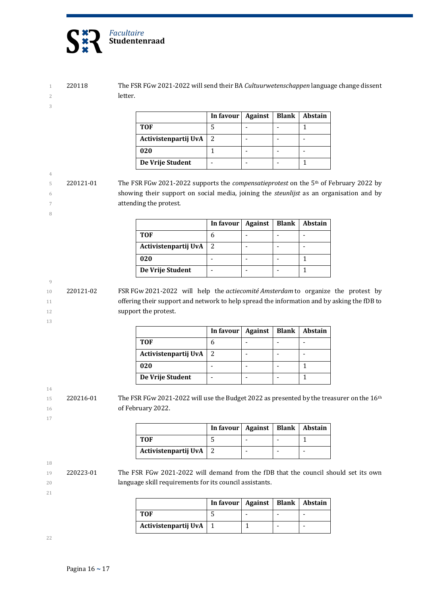

1 220118 The FSR FGw 2021-2022 will send their BA *Cultuurwetenschappen* language change dissent 2 letter.

|                      | In favour | Against | <b>Blank</b> | <b>Abstain</b> |
|----------------------|-----------|---------|--------------|----------------|
| TOF                  |           |         |              |                |
| Activistenpartij UvA | 2         |         |              |                |
| 020                  |           |         |              |                |
| De Vrije Student     |           |         |              |                |

5 220121-01 The FSR FGw 2021-2022 supports the *compensatieprotest* on the 5<sup>th</sup> of February 2022 by 6 showing their support on social media, joining the *steunlijst* as an organisation and by 7 **attending the protest.** 

|                      | In favour | <b>Against</b> | Blank   Abstain |
|----------------------|-----------|----------------|-----------------|
| <b>TOF</b>           |           |                |                 |
| Activistenpartij UvA | -2        |                |                 |
| 020                  |           |                |                 |
| De Vrije Student     |           |                |                 |

10 220121-02 FSR FGw 2021-2022 will help the *actiecomité Amsterdam* to organize the protest by 11 offering their support and network to help spread the information and by asking the fDB to 12 **support the protest.** 

|                      | In favour   Against |  | <b>Blank</b>   Abstain |
|----------------------|---------------------|--|------------------------|
| TOF                  |                     |  |                        |
| Activistenpartij UvA | 2                   |  |                        |
| 020                  |                     |  |                        |
| De Vrije Student     |                     |  |                        |

15 220216-01 The FSR FGw 2021-2022 will use the Budget 2022 as presented by the treasurer on the 16<sup>th</sup> 16 of February 2022.

|                          | In favour   Against   Blank   Abstain |  |  |
|--------------------------|---------------------------------------|--|--|
| TOF                      |                                       |  |  |
| Activistenpartij UvA   2 |                                       |  |  |

21

18

3

4

8

9

13

14

17

19 220223-01 The FSR FGw 2021-2022 will demand from the fDB that the council should set its own 20 **language skill requirements for its council assistants.** 

|                      | In favour   Against   Blank   Abstain |  |  |
|----------------------|---------------------------------------|--|--|
| TOF                  |                                       |  |  |
| Activistenpartij UvA |                                       |  |  |